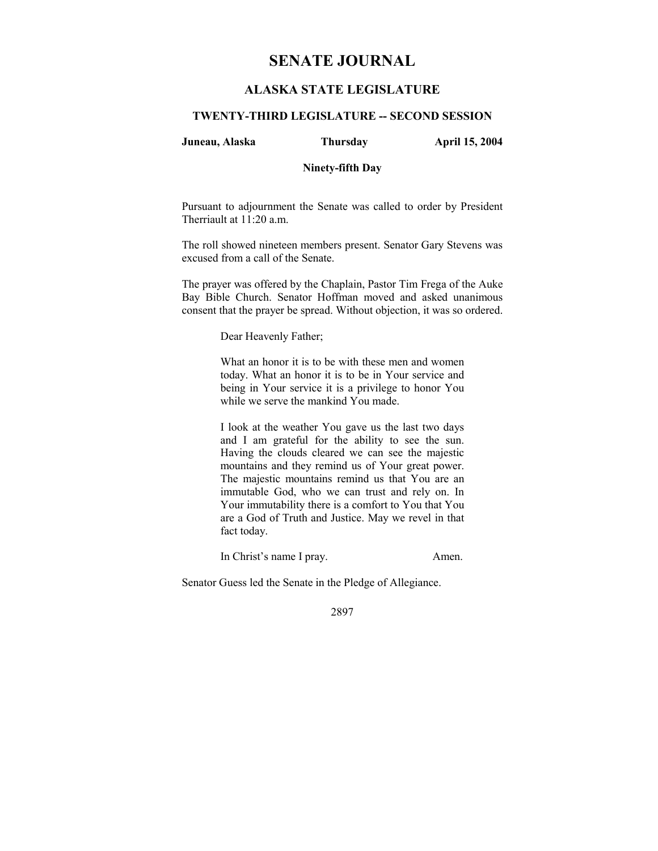# **SENATE JOURNAL**

# **ALASKA STATE LEGISLATURE**

# **TWENTY-THIRD LEGISLATURE -- SECOND SESSION**

#### **Juneau, Alaska Thursday April 15, 2004**

### **Ninety-fifth Day**

Pursuant to adjournment the Senate was called to order by President Therriault at 11:20 a.m.

The roll showed nineteen members present. Senator Gary Stevens was excused from a call of the Senate.

The prayer was offered by the Chaplain, Pastor Tim Frega of the Auke Bay Bible Church. Senator Hoffman moved and asked unanimous consent that the prayer be spread. Without objection, it was so ordered.

Dear Heavenly Father;

What an honor it is to be with these men and women today. What an honor it is to be in Your service and being in Your service it is a privilege to honor You while we serve the mankind You made.

I look at the weather You gave us the last two days and I am grateful for the ability to see the sun. Having the clouds cleared we can see the majestic mountains and they remind us of Your great power. The majestic mountains remind us that You are an immutable God, who we can trust and rely on. In Your immutability there is a comfort to You that You are a God of Truth and Justice. May we revel in that fact today.

In Christ's name I pray. Amen.

Senator Guess led the Senate in the Pledge of Allegiance.

2897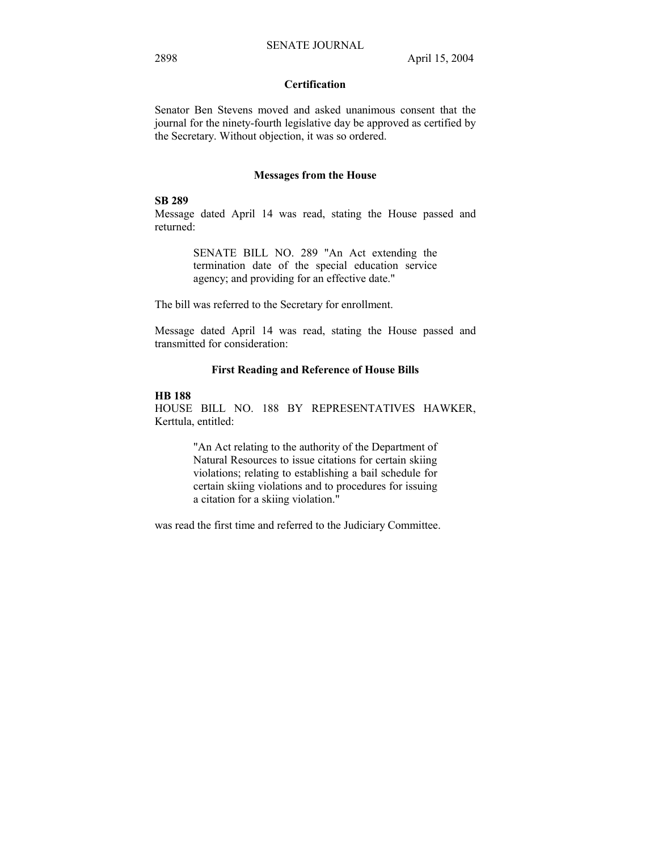# **Certification**

Senator Ben Stevens moved and asked unanimous consent that the journal for the ninety-fourth legislative day be approved as certified by the Secretary. Without objection, it was so ordered.

#### **Messages from the House**

#### **SB 289**

Message dated April 14 was read, stating the House passed and returned:

> SENATE BILL NO. 289 "An Act extending the termination date of the special education service agency; and providing for an effective date."

The bill was referred to the Secretary for enrollment.

Message dated April 14 was read, stating the House passed and transmitted for consideration:

### **First Reading and Reference of House Bills**

# **HB 188**

HOUSE BILL NO. 188 BY REPRESENTATIVES HAWKER, Kerttula, entitled:

> "An Act relating to the authority of the Department of Natural Resources to issue citations for certain skiing violations; relating to establishing a bail schedule for certain skiing violations and to procedures for issuing a citation for a skiing violation."

was read the first time and referred to the Judiciary Committee.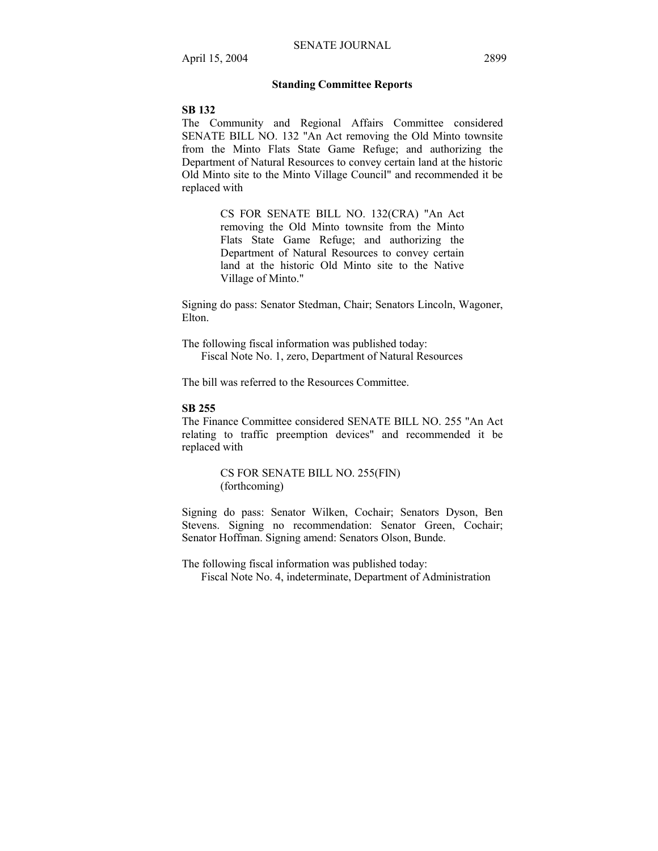### **Standing Committee Reports**

#### **SB 132**

The Community and Regional Affairs Committee considered SENATE BILL NO. 132 "An Act removing the Old Minto townsite from the Minto Flats State Game Refuge; and authorizing the Department of Natural Resources to convey certain land at the historic Old Minto site to the Minto Village Council" and recommended it be replaced with

> CS FOR SENATE BILL NO. 132(CRA) "An Act removing the Old Minto townsite from the Minto Flats State Game Refuge; and authorizing the Department of Natural Resources to convey certain land at the historic Old Minto site to the Native Village of Minto."

Signing do pass: Senator Stedman, Chair; Senators Lincoln, Wagoner, Elton.

The following fiscal information was published today: Fiscal Note No. 1, zero, Department of Natural Resources

The bill was referred to the Resources Committee.

#### **SB 255**

The Finance Committee considered SENATE BILL NO. 255 "An Act relating to traffic preemption devices" and recommended it be replaced with

> CS FOR SENATE BILL NO. 255(FIN) (forthcoming)

Signing do pass: Senator Wilken, Cochair; Senators Dyson, Ben Stevens. Signing no recommendation: Senator Green, Cochair; Senator Hoffman. Signing amend: Senators Olson, Bunde.

The following fiscal information was published today: Fiscal Note No. 4, indeterminate, Department of Administration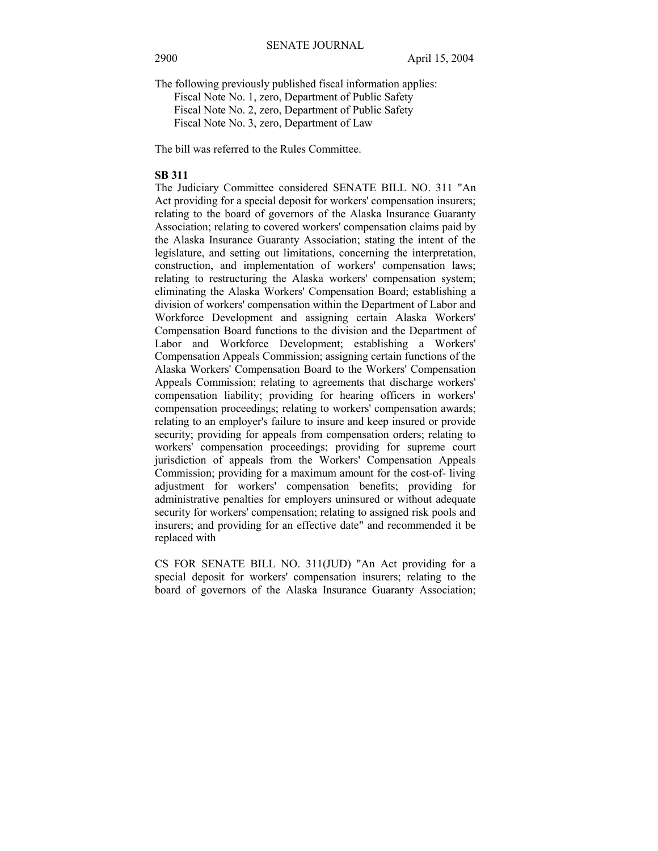The following previously published fiscal information applies:

Fiscal Note No. 1, zero, Department of Public Safety

Fiscal Note No. 2, zero, Department of Public Safety

Fiscal Note No. 3, zero, Department of Law

The bill was referred to the Rules Committee.

#### **SB 311**

The Judiciary Committee considered SENATE BILL NO. 311 "An Act providing for a special deposit for workers' compensation insurers; relating to the board of governors of the Alaska Insurance Guaranty Association; relating to covered workers' compensation claims paid by the Alaska Insurance Guaranty Association; stating the intent of the legislature, and setting out limitations, concerning the interpretation, construction, and implementation of workers' compensation laws; relating to restructuring the Alaska workers' compensation system; eliminating the Alaska Workers' Compensation Board; establishing a division of workers' compensation within the Department of Labor and Workforce Development and assigning certain Alaska Workers' Compensation Board functions to the division and the Department of Labor and Workforce Development; establishing a Workers' Compensation Appeals Commission; assigning certain functions of the Alaska Workers' Compensation Board to the Workers' Compensation Appeals Commission; relating to agreements that discharge workers' compensation liability; providing for hearing officers in workers' compensation proceedings; relating to workers' compensation awards; relating to an employer's failure to insure and keep insured or provide security; providing for appeals from compensation orders; relating to workers' compensation proceedings; providing for supreme court jurisdiction of appeals from the Workers' Compensation Appeals Commission; providing for a maximum amount for the cost-of- living adjustment for workers' compensation benefits; providing for administrative penalties for employers uninsured or without adequate security for workers' compensation; relating to assigned risk pools and insurers; and providing for an effective date" and recommended it be replaced with

CS FOR SENATE BILL NO. 311(JUD) "An Act providing for a special deposit for workers' compensation insurers; relating to the board of governors of the Alaska Insurance Guaranty Association;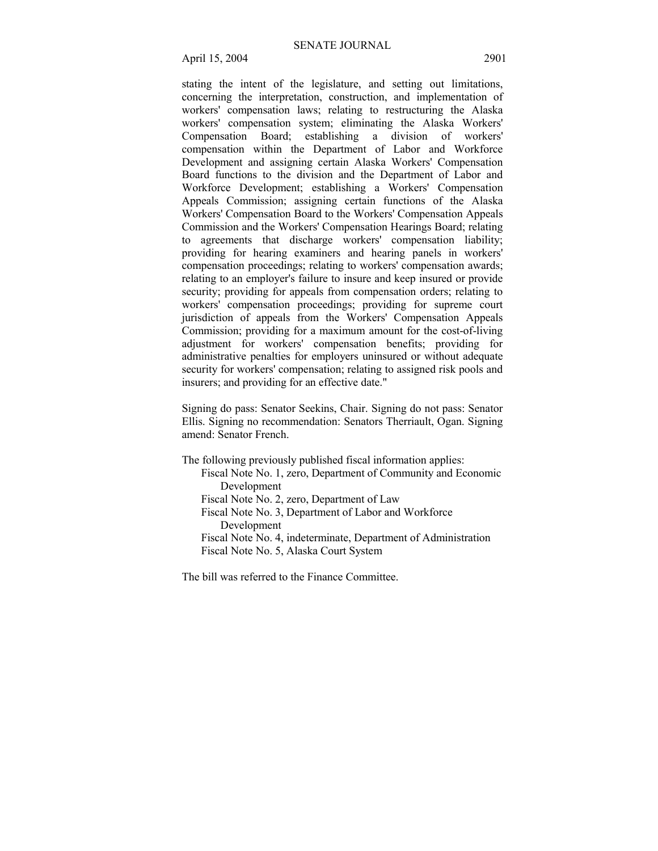April 15, 2004 2901

stating the intent of the legislature, and setting out limitations, concerning the interpretation, construction, and implementation of workers' compensation laws; relating to restructuring the Alaska workers' compensation system; eliminating the Alaska Workers' Compensation Board; establishing a division of workers' compensation within the Department of Labor and Workforce Development and assigning certain Alaska Workers' Compensation Board functions to the division and the Department of Labor and Workforce Development; establishing a Workers' Compensation Appeals Commission; assigning certain functions of the Alaska Workers' Compensation Board to the Workers' Compensation Appeals Commission and the Workers' Compensation Hearings Board; relating to agreements that discharge workers' compensation liability; providing for hearing examiners and hearing panels in workers' compensation proceedings; relating to workers' compensation awards; relating to an employer's failure to insure and keep insured or provide security; providing for appeals from compensation orders; relating to workers' compensation proceedings; providing for supreme court jurisdiction of appeals from the Workers' Compensation Appeals Commission; providing for a maximum amount for the cost-of-living adjustment for workers' compensation benefits; providing for administrative penalties for employers uninsured or without adequate security for workers' compensation; relating to assigned risk pools and insurers; and providing for an effective date."

Signing do pass: Senator Seekins, Chair. Signing do not pass: Senator Ellis. Signing no recommendation: Senators Therriault, Ogan. Signing amend: Senator French.

The following previously published fiscal information applies:

- Fiscal Note No. 1, zero, Department of Community and Economic Development
- Fiscal Note No. 2, zero, Department of Law

Fiscal Note No. 3, Department of Labor and Workforce Development

Fiscal Note No. 4, indeterminate, Department of Administration Fiscal Note No. 5, Alaska Court System

The bill was referred to the Finance Committee.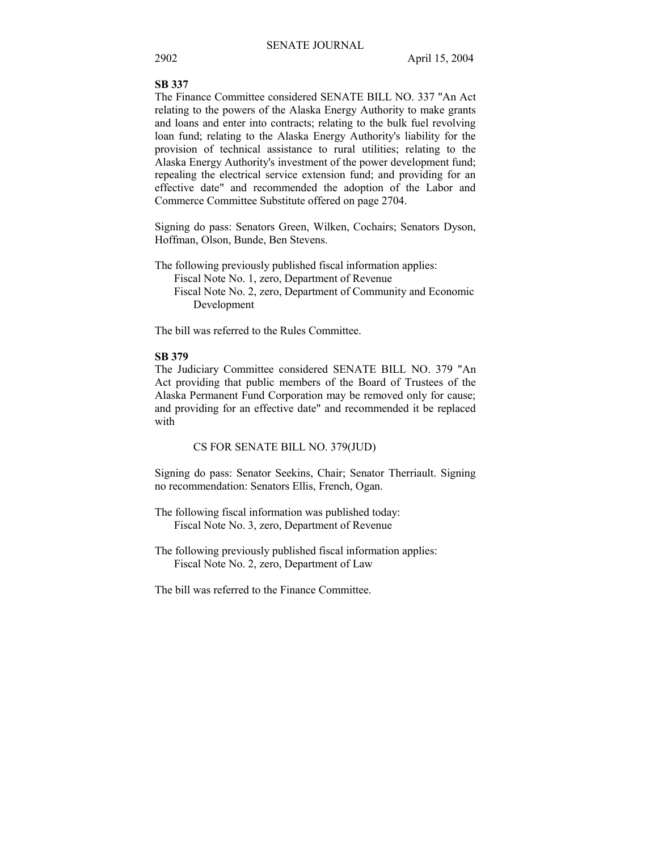# **SB 337**

The Finance Committee considered SENATE BILL NO. 337 "An Act relating to the powers of the Alaska Energy Authority to make grants and loans and enter into contracts; relating to the bulk fuel revolving loan fund; relating to the Alaska Energy Authority's liability for the provision of technical assistance to rural utilities; relating to the Alaska Energy Authority's investment of the power development fund; repealing the electrical service extension fund; and providing for an effective date" and recommended the adoption of the Labor and Commerce Committee Substitute offered on page 2704.

Signing do pass: Senators Green, Wilken, Cochairs; Senators Dyson, Hoffman, Olson, Bunde, Ben Stevens.

The following previously published fiscal information applies: Fiscal Note No. 1, zero, Department of Revenue Fiscal Note No. 2, zero, Department of Community and Economic Development

The bill was referred to the Rules Committee.

# **SB 379**

The Judiciary Committee considered SENATE BILL NO. 379 "An Act providing that public members of the Board of Trustees of the Alaska Permanent Fund Corporation may be removed only for cause; and providing for an effective date" and recommended it be replaced with

#### CS FOR SENATE BILL NO. 379(JUD)

Signing do pass: Senator Seekins, Chair; Senator Therriault. Signing no recommendation: Senators Ellis, French, Ogan.

- The following fiscal information was published today: Fiscal Note No. 3, zero, Department of Revenue
- The following previously published fiscal information applies: Fiscal Note No. 2, zero, Department of Law

The bill was referred to the Finance Committee.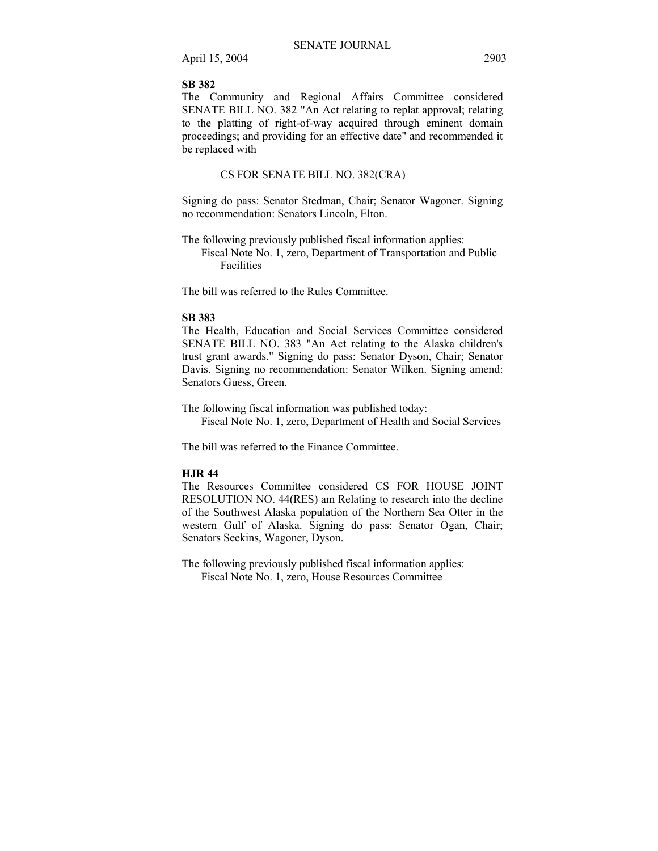April 15, 2004 2903

### **SB 382**

The Community and Regional Affairs Committee considered SENATE BILL NO. 382 "An Act relating to replat approval; relating to the platting of right-of-way acquired through eminent domain proceedings; and providing for an effective date" and recommended it be replaced with

### CS FOR SENATE BILL NO. 382(CRA)

Signing do pass: Senator Stedman, Chair; Senator Wagoner. Signing no recommendation: Senators Lincoln, Elton.

The following previously published fiscal information applies:

Fiscal Note No. 1, zero, Department of Transportation and Public Facilities

The bill was referred to the Rules Committee.

#### **SB 383**

The Health, Education and Social Services Committee considered SENATE BILL NO. 383 "An Act relating to the Alaska children's trust grant awards." Signing do pass: Senator Dyson, Chair; Senator Davis. Signing no recommendation: Senator Wilken. Signing amend: Senators Guess, Green.

The following fiscal information was published today: Fiscal Note No. 1, zero, Department of Health and Social Services

The bill was referred to the Finance Committee.

### **HJR 44**

The Resources Committee considered CS FOR HOUSE JOINT RESOLUTION NO. 44(RES) am Relating to research into the decline of the Southwest Alaska population of the Northern Sea Otter in the western Gulf of Alaska. Signing do pass: Senator Ogan, Chair; Senators Seekins, Wagoner, Dyson.

The following previously published fiscal information applies: Fiscal Note No. 1, zero, House Resources Committee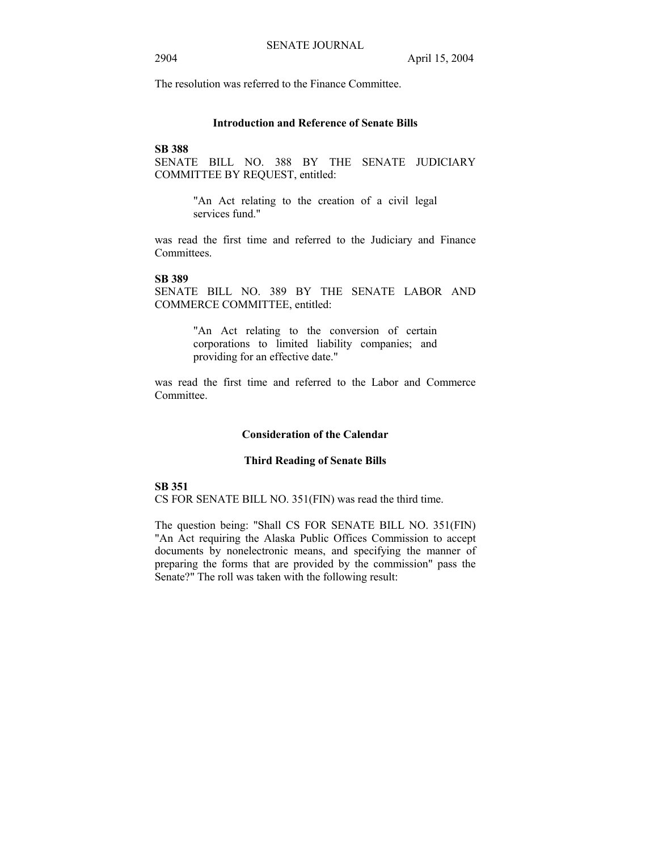The resolution was referred to the Finance Committee.

# **Introduction and Reference of Senate Bills**

# **SB 388**

SENATE BILL NO. 388 BY THE SENATE JUDICIARY COMMITTEE BY REQUEST, entitled:

> "An Act relating to the creation of a civil legal services fund."

was read the first time and referred to the Judiciary and Finance Committees.

# **SB 389**

SENATE BILL NO. 389 BY THE SENATE LABOR AND COMMERCE COMMITTEE, entitled:

> "An Act relating to the conversion of certain corporations to limited liability companies; and providing for an effective date."

was read the first time and referred to the Labor and Commerce **Committee** 

#### **Consideration of the Calendar**

# **Third Reading of Senate Bills**

### **SB 351**

CS FOR SENATE BILL NO. 351(FIN) was read the third time.

The question being: "Shall CS FOR SENATE BILL NO. 351(FIN) "An Act requiring the Alaska Public Offices Commission to accept documents by nonelectronic means, and specifying the manner of preparing the forms that are provided by the commission" pass the Senate?" The roll was taken with the following result: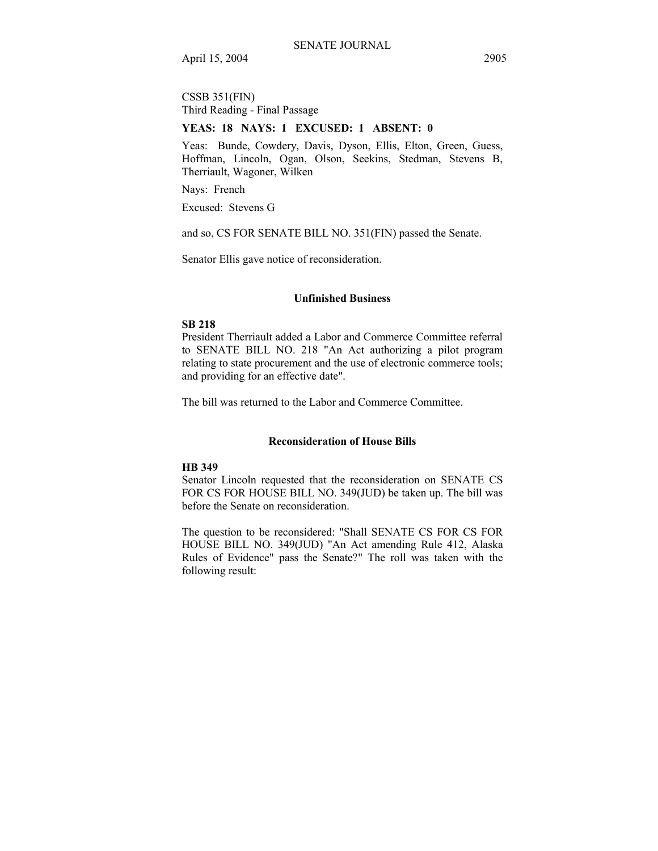April 15, 2004 2905

CSSB 351(FIN) Third Reading - Final Passage

#### **YEAS: 18 NAYS: 1 EXCUSED: 1 ABSENT: 0**

Yeas: Bunde, Cowdery, Davis, Dyson, Ellis, Elton, Green, Guess, Hoffman, Lincoln, Ogan, Olson, Seekins, Stedman, Stevens B, Therriault, Wagoner, Wilken

Nays: French

Excused: Stevens G

and so, CS FOR SENATE BILL NO. 351(FIN) passed the Senate.

Senator Ellis gave notice of reconsideration.

### **Unfinished Business**

### **SB 218**

President Therriault added a Labor and Commerce Committee referral to SENATE BILL NO. 218 "An Act authorizing a pilot program relating to state procurement and the use of electronic commerce tools; and providing for an effective date".

The bill was returned to the Labor and Commerce Committee.

#### **Reconsideration of House Bills**

# **HB 349**

Senator Lincoln requested that the reconsideration on SENATE CS FOR CS FOR HOUSE BILL NO. 349(JUD) be taken up. The bill was before the Senate on reconsideration.

The question to be reconsidered: "Shall SENATE CS FOR CS FOR HOUSE BILL NO. 349(JUD) "An Act amending Rule 412, Alaska Rules of Evidence" pass the Senate?" The roll was taken with the following result: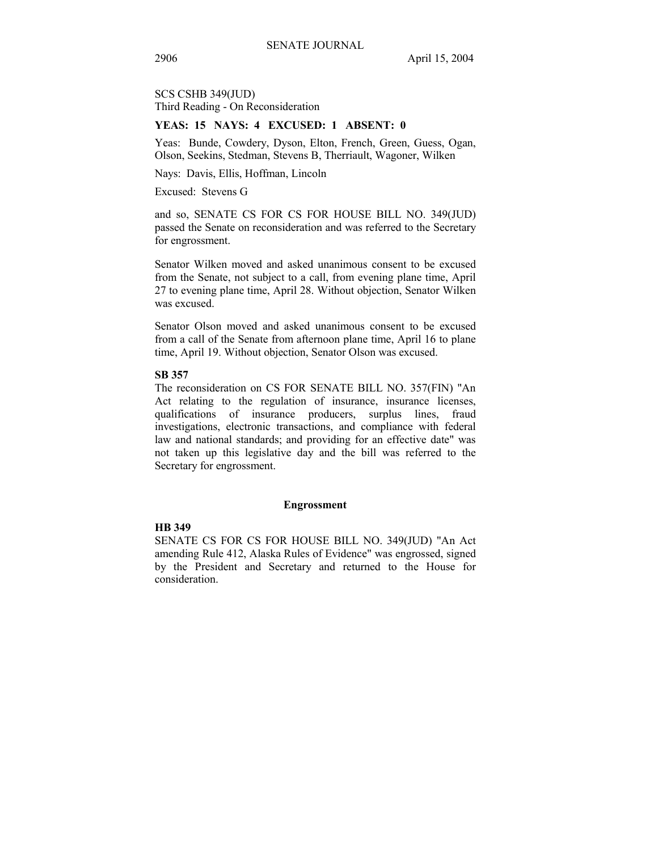SCS CSHB 349(JUD) Third Reading - On Reconsideration

### **YEAS: 15 NAYS: 4 EXCUSED: 1 ABSENT: 0**

Yeas: Bunde, Cowdery, Dyson, Elton, French, Green, Guess, Ogan, Olson, Seekins, Stedman, Stevens B, Therriault, Wagoner, Wilken

Nays: Davis, Ellis, Hoffman, Lincoln

Excused: Stevens G

and so, SENATE CS FOR CS FOR HOUSE BILL NO. 349(JUD) passed the Senate on reconsideration and was referred to the Secretary for engrossment.

Senator Wilken moved and asked unanimous consent to be excused from the Senate, not subject to a call, from evening plane time, April 27 to evening plane time, April 28. Without objection, Senator Wilken was excused.

Senator Olson moved and asked unanimous consent to be excused from a call of the Senate from afternoon plane time, April 16 to plane time, April 19. Without objection, Senator Olson was excused.

#### **SB 357**

The reconsideration on CS FOR SENATE BILL NO. 357(FIN) "An Act relating to the regulation of insurance, insurance licenses, qualifications of insurance producers, surplus lines, fraud investigations, electronic transactions, and compliance with federal law and national standards; and providing for an effective date" was not taken up this legislative day and the bill was referred to the Secretary for engrossment.

#### **Engrossment**

#### **HB 349**

SENATE CS FOR CS FOR HOUSE BILL NO. 349(JUD) "An Act amending Rule 412, Alaska Rules of Evidence" was engrossed, signed by the President and Secretary and returned to the House for consideration.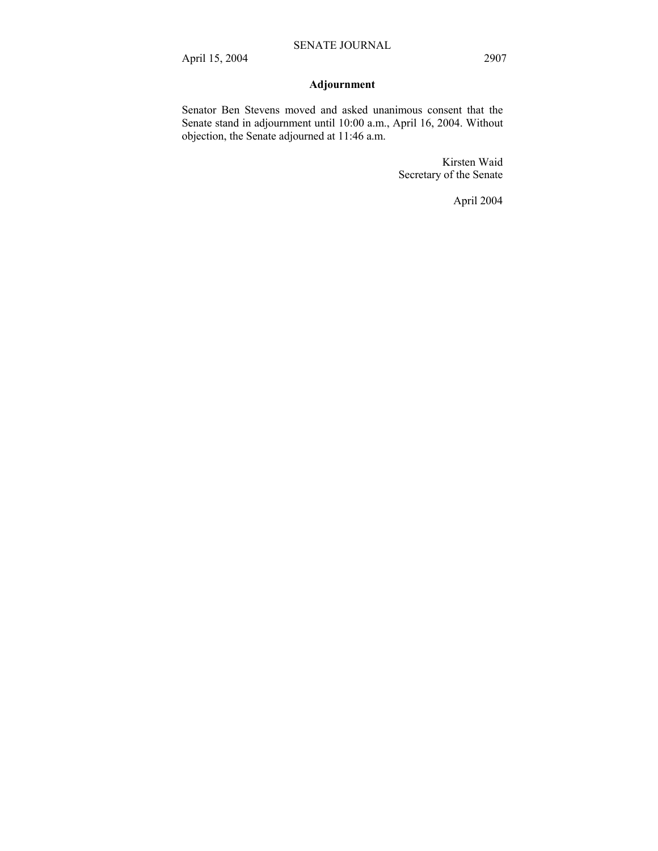# **Adjournment**

Senator Ben Stevens moved and asked unanimous consent that the Senate stand in adjournment until 10:00 a.m., April 16, 2004. Without objection, the Senate adjourned at 11:46 a.m.

> Kirsten Waid Secretary of the Senate

> > April 2004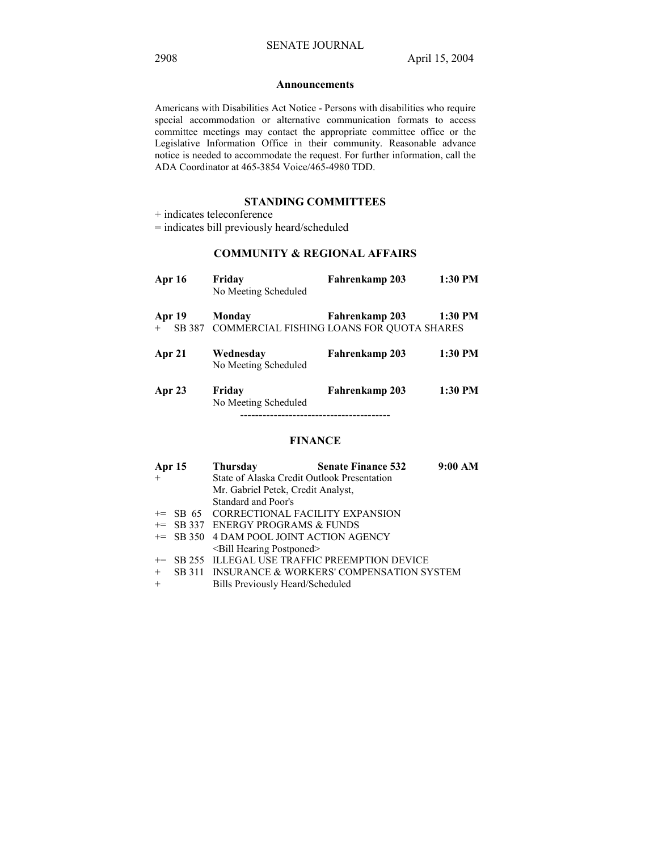#### **Announcements**

Americans with Disabilities Act Notice - Persons with disabilities who require special accommodation or alternative communication formats to access committee meetings may contact the appropriate committee office or the Legislative Information Office in their community. Reasonable advance notice is needed to accommodate the request. For further information, call the ADA Coordinator at 465-3854 Voice/465-4980 TDD.

# **STANDING COMMITTEES**

+ indicates teleconference

= indicates bill previously heard/scheduled

# **COMMUNITY & REGIONAL AFFAIRS**

| <b>Apr 16</b>    | Friday<br>No Meeting Scheduled            | Fahrenkamp 203 | 1:30 PM |
|------------------|-------------------------------------------|----------------|---------|
| Apr 19           | Monday                                    | Fahrenkamp 203 | 1:30 PM |
| SB 387<br>$^{+}$ | COMMERCIAL FISHING LOANS FOR QUOTA SHARES |                |         |
| Apr 21           | Wednesday<br>No Meeting Scheduled         | Fahrenkamp 203 | 1:30 PM |
| Apr 23           | Friday<br>No Meeting Scheduled            | Fahrenkamp 203 | 1:30 PM |

# **FINANCE**

| <b>Apr 15</b> |  | Thursday                                 | <b>Senate Finance 532</b>                       | 9:00 AM |  |
|---------------|--|------------------------------------------|-------------------------------------------------|---------|--|
| $+$           |  |                                          | State of Alaska Credit Outlook Presentation     |         |  |
|               |  | Mr. Gabriel Petek, Credit Analyst,       |                                                 |         |  |
|               |  | Standard and Poor's                      |                                                 |         |  |
|               |  | += SB 65 CORRECTIONAL FACILITY EXPANSION |                                                 |         |  |
|               |  | += SB 337 ENERGY PROGRAMS & FUNDS        |                                                 |         |  |
|               |  | += SB 350 4 DAM POOL JOINT ACTION AGENCY |                                                 |         |  |
|               |  | <bill hearing="" postponed=""></bill>    |                                                 |         |  |
|               |  |                                          | += SB 255 ILLEGAL USE TRAFFIC PREEMPTION DEVICE |         |  |
| $+$           |  |                                          | SB 311 INSURANCE & WORKERS' COMPENSATION SYSTEM |         |  |
| $+$           |  | Bills Previously Heard/Scheduled         |                                                 |         |  |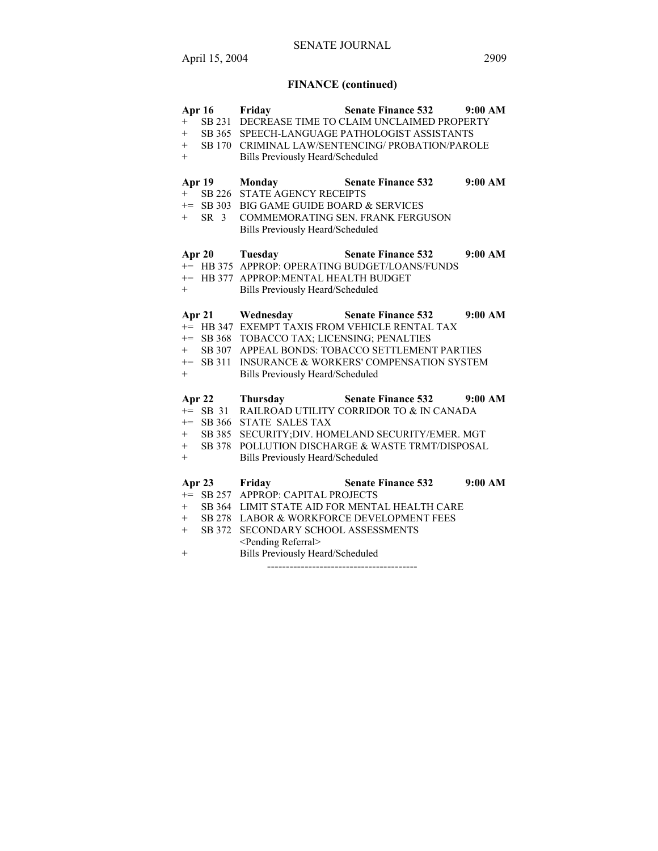# **FINANCE (continued)**

| Apr 16                 | Friday                                      | <b>Senate Finance 532</b>                         | 9:00 AM |
|------------------------|---------------------------------------------|---------------------------------------------------|---------|
| $+$                    |                                             | SB 231 DECREASE TIME TO CLAIM UNCLAIMED PROPERTY  |         |
| $^{+}$                 |                                             | SB 365 SPEECH-LANGUAGE PATHOLOGIST ASSISTANTS     |         |
| $+$                    |                                             | SB 170 CRIMINAL LAW/SENTENCING/ PROBATION/PAROLE  |         |
| $+$                    | <b>Bills Previously Heard/Scheduled</b>     |                                                   |         |
|                        |                                             |                                                   |         |
| <b>Apr 19</b>          | Monday                                      | <b>Senate Finance 532</b>                         | 9:00 AM |
| $+$                    | SB 226 STATE AGENCY RECEIPTS                |                                                   |         |
|                        | += SB 303 BIG GAME GUIDE BOARD & SERVICES   |                                                   |         |
| SR <sub>3</sub><br>$+$ |                                             | COMMEMORATING SEN. FRANK FERGUSON                 |         |
|                        | <b>Bills Previously Heard/Scheduled</b>     |                                                   |         |
|                        |                                             |                                                   |         |
|                        | Apr 20 Tuesday                              | <b>Senate Finance 532</b>                         | 9:00 AM |
|                        |                                             | += HB 375 APPROP: OPERATING BUDGET/LOANS/FUNDS    |         |
|                        | += HB 377 APPROP:MENTAL HEALTH BUDGET       |                                                   |         |
| $+$                    | <b>Bills Previously Heard/Scheduled</b>     |                                                   |         |
|                        |                                             |                                                   |         |
| Apr $21$               | Wednesday                                   | <b>Senate Finance 532</b>                         | 9:00 AM |
|                        |                                             | += HB 347 EXEMPT TAXIS FROM VEHICLE RENTAL TAX    |         |
|                        | += SB 368 TOBACCO TAX; LICENSING; PENALTIES |                                                   |         |
| SB 307<br>$+$          |                                             | APPEAL BONDS: TOBACCO SETTLEMENT PARTIES          |         |
| $+=$ SB 311            |                                             | INSURANCE & WORKERS' COMPENSATION SYSTEM          |         |
| $+$                    | <b>Bills Previously Heard/Scheduled</b>     |                                                   |         |
|                        |                                             |                                                   |         |
| Apr $22$               | <b>Thursday</b>                             | Senate Finance 532 9:00 AM                        |         |
| $+=$ SB 31             |                                             | RAILROAD UTILITY CORRIDOR TO & IN CANADA          |         |
| $+=$                   | SB 366 STATE SALES TAX                      |                                                   |         |
| $+$                    |                                             | SB 385 SECURITY; DIV. HOMELAND SECURITY/EMER. MGT |         |
| $+$                    |                                             | SB 378 POLLUTION DISCHARGE & WASTE TRMT/DISPOSAL  |         |
| $+$                    | <b>Bills Previously Heard/Scheduled</b>     |                                                   |         |
|                        |                                             |                                                   |         |
| Apr $23$               | Friday                                      | <b>Senate Finance 532</b>                         | 9:00 AM |
|                        | += SB 257 APPROP: CAPITAL PROJECTS          |                                                   |         |
| $+$                    |                                             | SB 364 LIMIT STATE AID FOR MENTAL HEALTH CARE     |         |
| $+$                    |                                             | SB 278 LABOR & WORKFORCE DEVELOPMENT FEES         |         |
| SB 372<br>$+$          | SECONDARY SCHOOL ASSESSMENTS                |                                                   |         |
|                        | <pending referral=""></pending>             |                                                   |         |
| $^{+}$                 | <b>Bills Previously Heard/Scheduled</b>     |                                                   |         |
|                        |                                             |                                                   |         |
|                        |                                             |                                                   |         |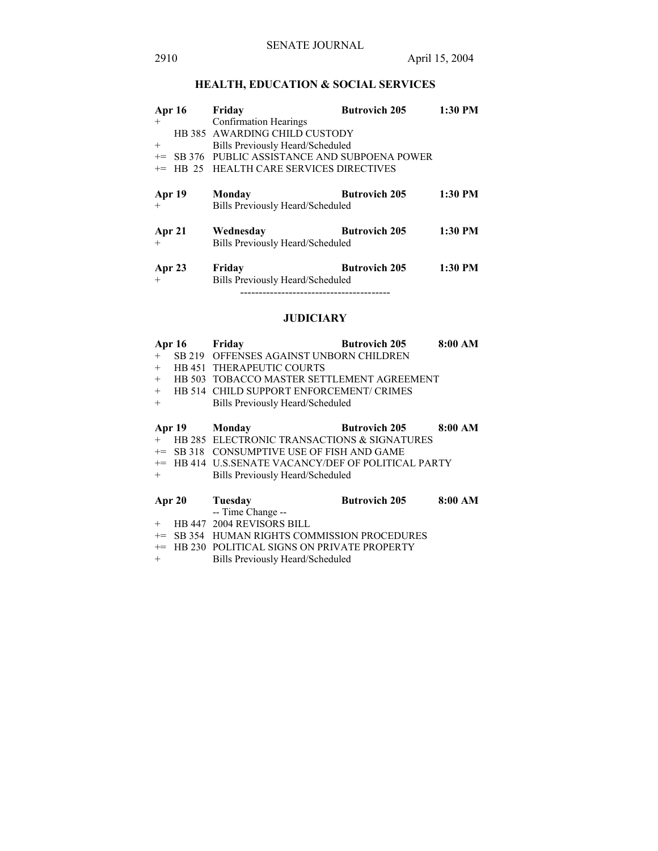# **HEALTH, EDUCATION & SOCIAL SERVICES**

| <b>Apr 16</b> |  | Friday                                      | <b>Butrovich 205</b> | 1:30 PM |
|---------------|--|---------------------------------------------|----------------------|---------|
| $+$           |  | <b>Confirmation Hearings</b>                |                      |         |
|               |  | HB 385 AWARDING CHILD CUSTODY               |                      |         |
| $^{+}$        |  | Bills Previously Heard/Scheduled            |                      |         |
| $+=$          |  | SB 376 PUBLIC ASSISTANCE AND SUBPOENA POWER |                      |         |
| $+=$          |  | HB 25 HEALTH CARE SERVICES DIRECTIVES       |                      |         |
|               |  |                                             |                      |         |
| Apr 19        |  | Monday                                      | <b>Butrovich 205</b> | 1:30 PM |
| $^{+}$        |  | Bills Previously Heard/Scheduled            |                      |         |
|               |  |                                             |                      |         |
| Apr 21        |  | Wednesday                                   | <b>Butrovich 205</b> | 1:30 PM |
| $+$           |  | Bills Previously Heard/Scheduled            |                      |         |
|               |  |                                             |                      |         |
| Apr 23        |  | Friday                                      | <b>Butrovich 205</b> | 1:30 PM |
| $+$           |  | Bills Previously Heard/Scheduled            |                      |         |
|               |  |                                             |                      |         |

# **JUDICIARY**

|        | Apr $16$ | Friday                                              | <b>Butrovich 205</b> | 8:00 AM |
|--------|----------|-----------------------------------------------------|----------------------|---------|
| $+$    | SB 219   | OFFENSES AGAINST UNBORN CHILDREN                    |                      |         |
| $+$    |          | <b>HB 451 THERAPEUTIC COURTS</b>                    |                      |         |
| $+$    |          | HB 503 TOBACCO MASTER SETTLEMENT AGREEMENT          |                      |         |
| $+$    |          | HB 514 CHILD SUPPORT ENFORCEMENT/ CRIMES            |                      |         |
| $+$    |          | Bills Previously Heard/Scheduled                    |                      |         |
|        |          |                                                     |                      |         |
|        | Apr 19   | Monday                                              | <b>Butrovich 205</b> | 8:00 AM |
| $+$    |          | HB 285 ELECTRONIC TRANSACTIONS & SIGNATURES         |                      |         |
|        |          | $\pm$ SB 318 CONSUMPTIVE USE OF FISH AND GAME       |                      |         |
|        |          | += HB 414 U.S.SENATE VACANCY/DEF OF POLITICAL PARTY |                      |         |
| $+$    |          | Bills Previously Heard/Scheduled                    |                      |         |
|        |          |                                                     |                      |         |
| Apr 20 |          | Tuesday                                             | <b>Butrovich 205</b> | 8:00 AM |
| $+$    |          | -- Time Change --<br>HB 447 2004 REVISORS BILL      |                      |         |
|        |          |                                                     |                      |         |
| $+=$   |          | SB 354 HUMAN RIGHTS COMMISSION PROCEDURES           |                      |         |
| $+=$   |          | HB 230 POLITICAL SIGNS ON PRIVATE PROPERTY          |                      |         |
| $^{+}$ |          | Bills Previously Heard/Scheduled                    |                      |         |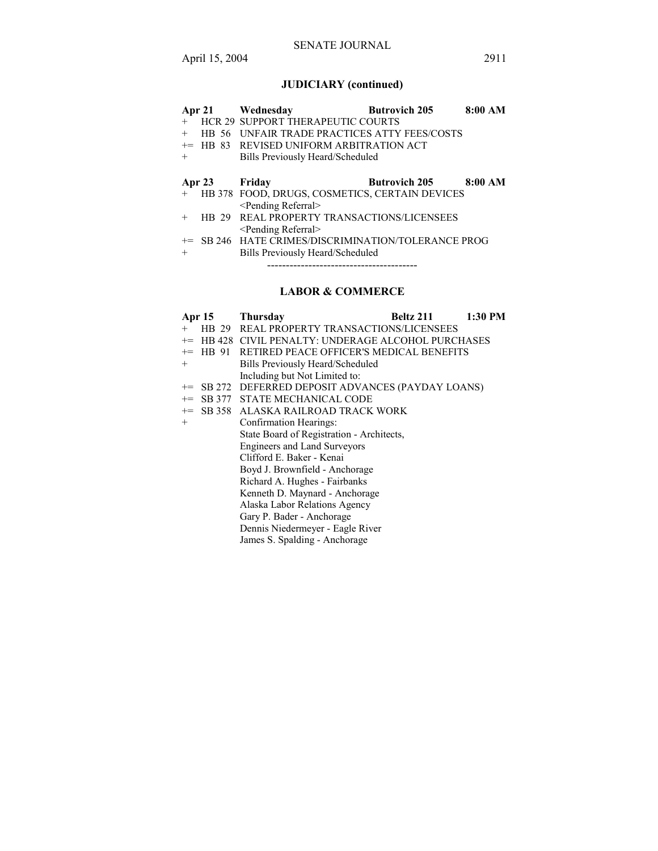# SENATE JOURNAL

# **JUDICIARY (continued)**

|        |            | Apr 21 Wednesday                                    | <b>Butrovich 205</b> | 8:00 AM |
|--------|------------|-----------------------------------------------------|----------------------|---------|
| $+$    |            | <b>HCR 29 SUPPORT THERAPEUTIC COURTS</b>            |                      |         |
| $^{+}$ |            | HB 56 UNFAIR TRADE PRACTICES ATTY FEES/COSTS        |                      |         |
|        | $+=$ HB 83 | REVISED UNIFORM ARBITRATION ACT                     |                      |         |
| $^{+}$ |            | Bills Previously Heard/Scheduled                    |                      |         |
|        |            |                                                     |                      |         |
|        |            |                                                     |                      |         |
|        | Apr $23$   | Friday                                              | <b>Butrovich 205</b> | 8:00 AM |
| $+$    |            | HB 378 FOOD, DRUGS, COSMETICS, CERTAIN DEVICES      |                      |         |
|        |            | <pending referral=""></pending>                     |                      |         |
| $^{+}$ | HB 29      | <b>REAL PROPERTY TRANSACTIONS/LICENSEES</b>         |                      |         |
|        |            | <pending referral=""></pending>                     |                      |         |
|        |            | += SB 246 HATE CRIMES/DISCRIMINATION/TOLERANCE PROG |                      |         |

----------------------------------------

# **LABOR & COMMERCE**

| <b>Apr 15</b> | <b>Thursday</b>                                    | Beltz 211 | 1:30 PM |
|---------------|----------------------------------------------------|-----------|---------|
| $^{+}$        | <b>HB 29 REAL PROPERTY TRANSACTIONS/LICENSEES</b>  |           |         |
| $+=$          | HB 428 CIVIL PENALTY: UNDERAGE ALCOHOL PURCHASES   |           |         |
| HB 91<br>$+=$ | RETIRED PEACE OFFICER'S MEDICAL BENEFITS           |           |         |
| $+$           | Bills Previously Heard/Scheduled                   |           |         |
|               | Including but Not Limited to:                      |           |         |
|               | += SB 272 DEFERRED DEPOSIT ADVANCES (PAYDAY LOANS) |           |         |
|               | += SB 377 STATE MECHANICAL CODE                    |           |         |
|               | <sup>+=</sup> SB 358 ALASKA RAILROAD TRACK WORK    |           |         |
| $+$           | Confirmation Hearings:                             |           |         |
|               | State Board of Registration - Architects,          |           |         |
|               | Engineers and Land Surveyors                       |           |         |
|               | Clifford E. Baker - Kenai                          |           |         |
|               | Boyd J. Brownfield - Anchorage                     |           |         |
|               | Richard A. Hughes - Fairbanks                      |           |         |
|               | Kenneth D. Maynard - Anchorage                     |           |         |
|               | Alaska Labor Relations Agency                      |           |         |
|               | Gary P. Bader - Anchorage                          |           |         |
|               | Dennis Niedermeyer - Eagle River                   |           |         |

James S. Spalding - Anchorage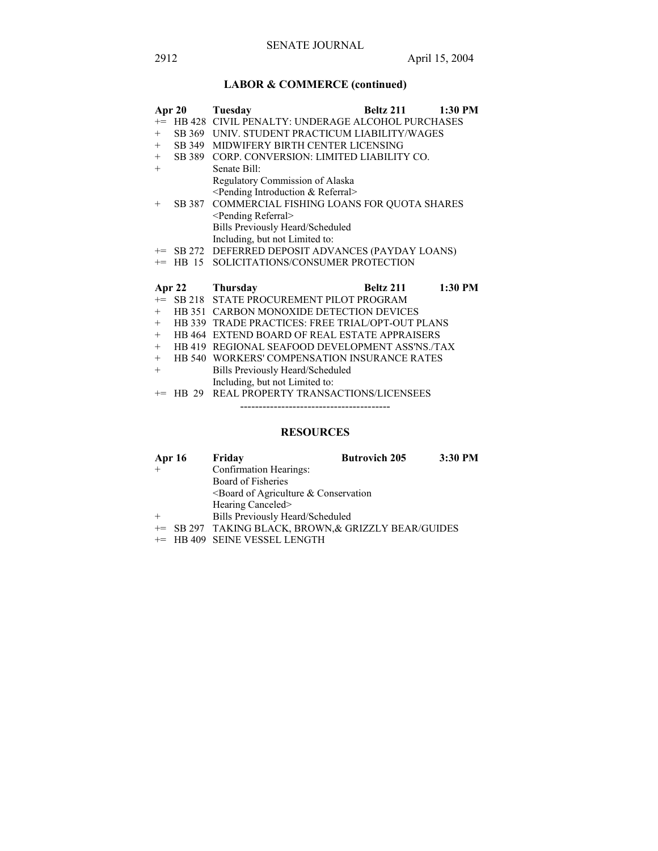# **LABOR & COMMERCE (continued)**

|        | Apr 20 | <b>Beltz 211</b><br>1:30 PM<br>Tuesday               |  |
|--------|--------|------------------------------------------------------|--|
|        |        | += HB 428 CIVIL PENALTY: UNDERAGE ALCOHOL PURCHASES  |  |
| $+$    |        | SB 369 UNIV. STUDENT PRACTICUM LIABILITY/WAGES       |  |
| $+$    |        | SB 349 MIDWIFERY BIRTH CENTER LICENSING              |  |
| $+$    |        | SB 389 CORP. CONVERSION: LIMITED LIABILITY CO.       |  |
| $^{+}$ |        | Senate Bill:                                         |  |
|        |        | Regulatory Commission of Alaska                      |  |
|        |        | <pending &="" introduction="" referral=""></pending> |  |
| $^{+}$ | SB 387 | COMMERCIAL FISHING LOANS FOR QUOTA SHARES            |  |
|        |        | <pending referral=""></pending>                      |  |
|        |        | <b>Bills Previously Heard/Scheduled</b>              |  |
|        |        | Including, but not Limited to:                       |  |
|        |        | += SB 272 DEFERRED DEPOSIT ADVANCES (PAYDAY LOANS)   |  |
|        |        | += HB 15 SOLICITATIONS/CONSUMER PROTECTION           |  |
|        |        |                                                      |  |
|        |        | 1:30 PM<br>Apr 22 Thursday<br>Beltz 211              |  |
|        |        | += SB 218 STATE PROCUREMENT PILOT PROGRAM            |  |
| $+$    |        | HB 351 CARBON MONOXIDE DETECTION DEVICES             |  |
| $+$    |        | HB 339 TRADE PRACTICES: FREE TRIAL/OPT-OUT PLANS     |  |
| $+$    |        | HB 464 EXTEND BOARD OF REAL ESTATE APPRAISERS        |  |
| $^{+}$ |        | HB 419 REGIONAL SEAFOOD DEVELOPMENT ASS'NS./TAX      |  |
| $^{+}$ |        | HB 540 WORKERS' COMPENSATION INSURANCE RATES         |  |
| $^{+}$ |        | Bills Previously Heard/Scheduled                     |  |
|        |        | Including, but not Limited to:                       |  |
| $+=$   |        | HB 29 REAL PROPERTY TRANSACTIONS/LICENSEES           |  |
|        |        |                                                      |  |

# **RESOURCES**

| <b>Apr 16</b> | Friday                                               | <b>Butrovich 205</b> | 3:30 PM |
|---------------|------------------------------------------------------|----------------------|---------|
|               | Confirmation Hearings:                               |                      |         |
|               | Board of Fisheries                                   |                      |         |
|               | $\leq$ Board of Agriculture & Conservation           |                      |         |
|               | Hearing Canceled>                                    |                      |         |
|               | <b>Bills Previously Heard/Scheduled</b>              |                      |         |
|               | += SB 297 TAKING BLACK, BROWN, & GRIZZLY BEAR/GUIDES |                      |         |

+= HB 409 SEINE VESSEL LENGTH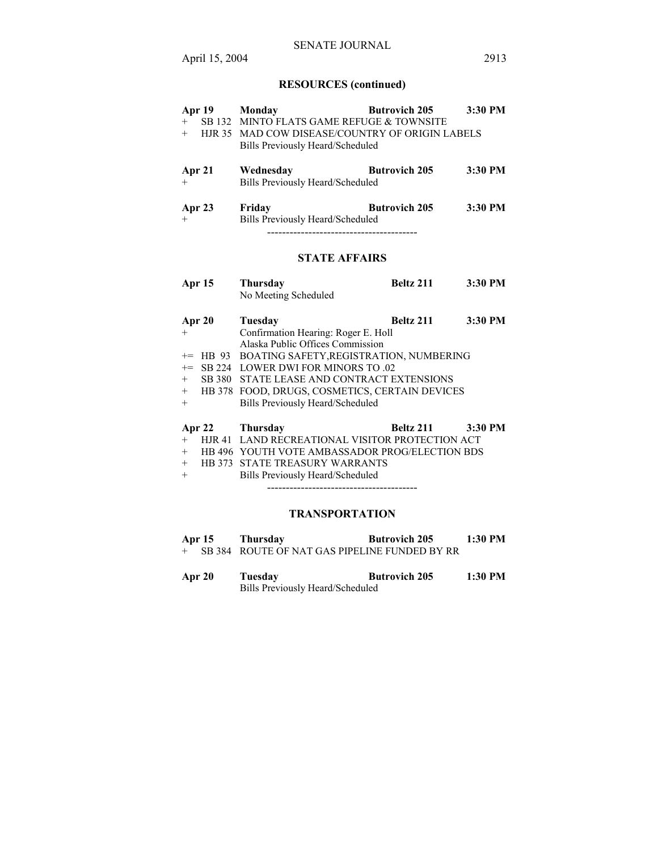# SENATE JOURNAL

# **RESOURCES (continued)**

| <b>Apr 19</b>  | Monday                                           | <b>Butrovich 205</b> | 3:30 PM |  |
|----------------|--------------------------------------------------|----------------------|---------|--|
| $+$            | SB 132 MINTO FLATS GAME REFUGE & TOWNSITE        |                      |         |  |
| $+$            | HJR 35 MAD COW DISEASE/COUNTRY OF ORIGIN LABELS  |                      |         |  |
|                | Bills Previously Heard/Scheduled                 |                      |         |  |
|                |                                                  |                      |         |  |
| Apr 21         | Wednesday                                        | <b>Butrovich 205</b> | 3:30 PM |  |
| $^{+}$         | <b>Bills Previously Heard/Scheduled</b>          |                      |         |  |
|                |                                                  |                      |         |  |
| Apr 23         | Friday                                           | <b>Butrovich 205</b> | 3:30 PM |  |
| $^{+}$         | Bills Previously Heard/Scheduled                 |                      |         |  |
|                |                                                  |                      |         |  |
|                |                                                  |                      |         |  |
|                | <b>STATE AFFAIRS</b>                             |                      |         |  |
|                |                                                  |                      |         |  |
| Apr 15         | Thursday                                         | Beltz 211            | 3:30 PM |  |
|                | No Meeting Scheduled                             |                      |         |  |
|                |                                                  |                      |         |  |
| Apr 20         | <b>Tuesday</b>                                   | Beltz 211            | 3:30 PM |  |
| $+$            | Confirmation Hearing: Roger E. Holl              |                      |         |  |
|                | Alaska Public Offices Commission                 |                      |         |  |
| $+=$ HB 93     | BOATING SAFETY, REGISTRATION, NUMBERING          |                      |         |  |
| SB 224<br>$+=$ | <b>LOWER DWI FOR MINORS TO .02</b>               |                      |         |  |
| SB 380<br>$+$  | STATE LEASE AND CONTRACT EXTENSIONS              |                      |         |  |
|                | + HB 378 FOOD, DRUGS, COSMETICS, CERTAIN DEVICES |                      |         |  |
| $+$            | <b>Bills Previously Heard/Scheduled</b>          |                      |         |  |
|                |                                                  |                      |         |  |
| Apr $22$       | <b>Thursday</b>                                  | Beltz 211            | 3:30 PM |  |
| $^{+}$         | HJR 41 LAND RECREATIONAL VISITOR PROTECTION ACT  |                      |         |  |
| $+$            | HB 496 YOUTH VOTE AMBASSADOR PROG/ELECTION BDS   |                      |         |  |
| $+$            | HB 373 STATE TREASURY WARRANTS                   |                      |         |  |
| $+$            | <b>Bills Previously Heard/Scheduled</b>          |                      |         |  |
|                |                                                  |                      |         |  |
|                |                                                  |                      |         |  |
|                | <b>TRANSPORTATION</b>                            |                      |         |  |

- **Apr 15 Thursday Butrovich 205 1:30 PM**  + SB 384 ROUTE OF NAT GAS PIPELINE FUNDED BY RR
- **Apr 20 Tuesday Butrovich 205 1:30 PM**  Bills Previously Heard/Scheduled